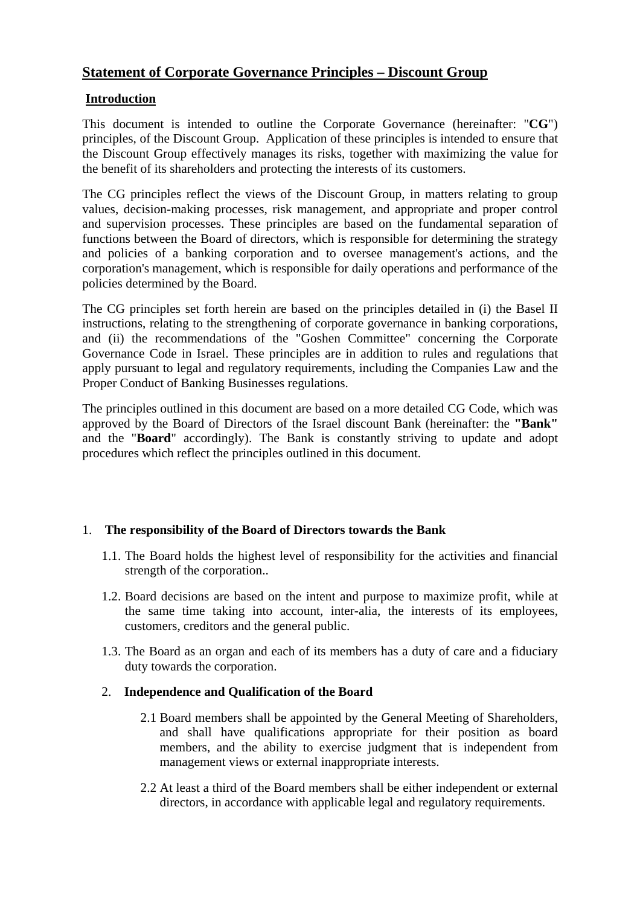# **Statement of Corporate Governance Principles – Discount Group**

# **Introduction**

This document is intended to outline the Corporate Governance (hereinafter: "**CG**") principles, of the Discount Group. Application of these principles is intended to ensure that the Discount Group effectively manages its risks, together with maximizing the value for the benefit of its shareholders and protecting the interests of its customers.

The CG principles reflect the views of the Discount Group, in matters relating to group values, decision-making processes, risk management, and appropriate and proper control and supervision processes. These principles are based on the fundamental separation of functions between the Board of directors, which is responsible for determining the strategy and policies of a banking corporation and to oversee management's actions, and the corporation's management, which is responsible for daily operations and performance of the policies determined by the Board.

The CG principles set forth herein are based on the principles detailed in (i) the Basel II instructions, relating to the strengthening of corporate governance in banking corporations, and (ii) the recommendations of the "Goshen Committee" concerning the Corporate Governance Code in Israel. These principles are in addition to rules and regulations that apply pursuant to legal and regulatory requirements, including the Companies Law and the Proper Conduct of Banking Businesses regulations.

The principles outlined in this document are based on a more detailed CG Code, which was approved by the Board of Directors of the Israel discount Bank (hereinafter: the **"Bank"**  and the "**Board**" accordingly). The Bank is constantly striving to update and adopt procedures which reflect the principles outlined in this document.

# 1. **The responsibility of the Board of Directors towards the Bank**

- 1.1. The Board holds the highest level of responsibility for the activities and financial strength of the corporation..
- 1.2. Board decisions are based on the intent and purpose to maximize profit, while at the same time taking into account, inter-alia, the interests of its employees, customers, creditors and the general public.
- 1.3. The Board as an organ and each of its members has a duty of care and a fiduciary duty towards the corporation.

#### 2. **Independence and Qualification of the Board**

- 2.1 Board members shall be appointed by the General Meeting of Shareholders, and shall have qualifications appropriate for their position as board members, and the ability to exercise judgment that is independent from management views or external inappropriate interests.
- 2.2 At least a third of the Board members shall be either independent or external directors, in accordance with applicable legal and regulatory requirements.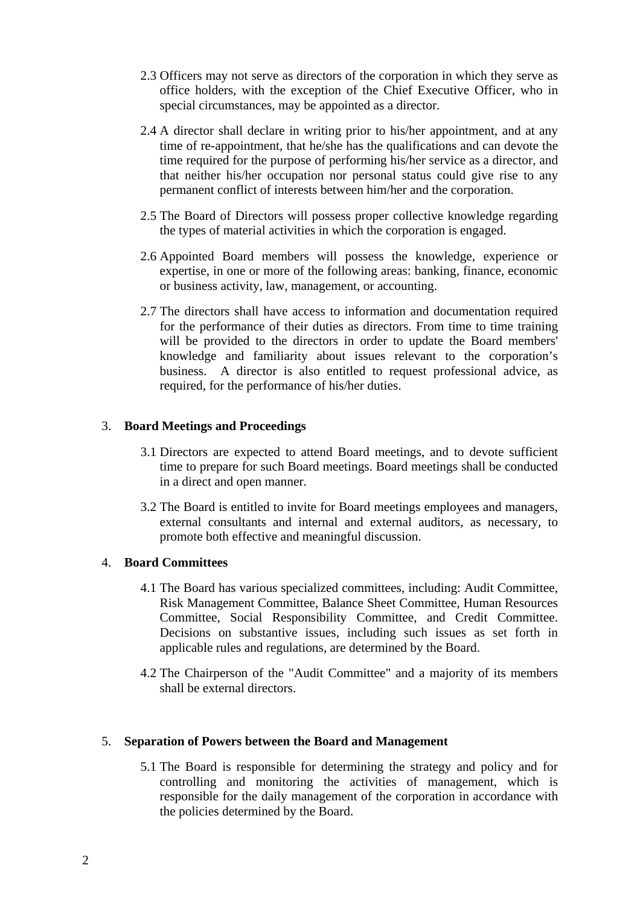- 2.3 Officers may not serve as directors of the corporation in which they serve as office holders, with the exception of the Chief Executive Officer, who in special circumstances, may be appointed as a director.
- 2.4 A director shall declare in writing prior to his/her appointment, and at any time of re-appointment, that he/she has the qualifications and can devote the time required for the purpose of performing his/her service as a director, and that neither his/her occupation nor personal status could give rise to any permanent conflict of interests between him/her and the corporation.
- 2.5 The Board of Directors will possess proper collective knowledge regarding the types of material activities in which the corporation is engaged.
- 2.6 Appointed Board members will possess the knowledge, experience or expertise, in one or more of the following areas: banking, finance, economic or business activity, law, management, or accounting.
- 2.7 The directors shall have access to information and documentation required for the performance of their duties as directors. From time to time training will be provided to the directors in order to update the Board members' knowledge and familiarity about issues relevant to the corporation's business. A director is also entitled to request professional advice, as required, for the performance of his/her duties.

### 3. **Board Meetings and Proceedings**

- 3.1 Directors are expected to attend Board meetings, and to devote sufficient time to prepare for such Board meetings. Board meetings shall be conducted in a direct and open manner.
- 3.2 The Board is entitled to invite for Board meetings employees and managers, external consultants and internal and external auditors, as necessary, to promote both effective and meaningful discussion.

# 4. **Board Committees**

- 4.1 The Board has various specialized committees, including: Audit Committee, Risk Management Committee, Balance Sheet Committee, Human Resources Committee, Social Responsibility Committee, and Credit Committee. Decisions on substantive issues, including such issues as set forth in applicable rules and regulations, are determined by the Board.
- 4.2 The Chairperson of the "Audit Committee" and a majority of its members shall be external directors.

#### 5. **Separation of Powers between the Board and Management**

5.1 The Board is responsible for determining the strategy and policy and for controlling and monitoring the activities of management, which is responsible for the daily management of the corporation in accordance with the policies determined by the Board.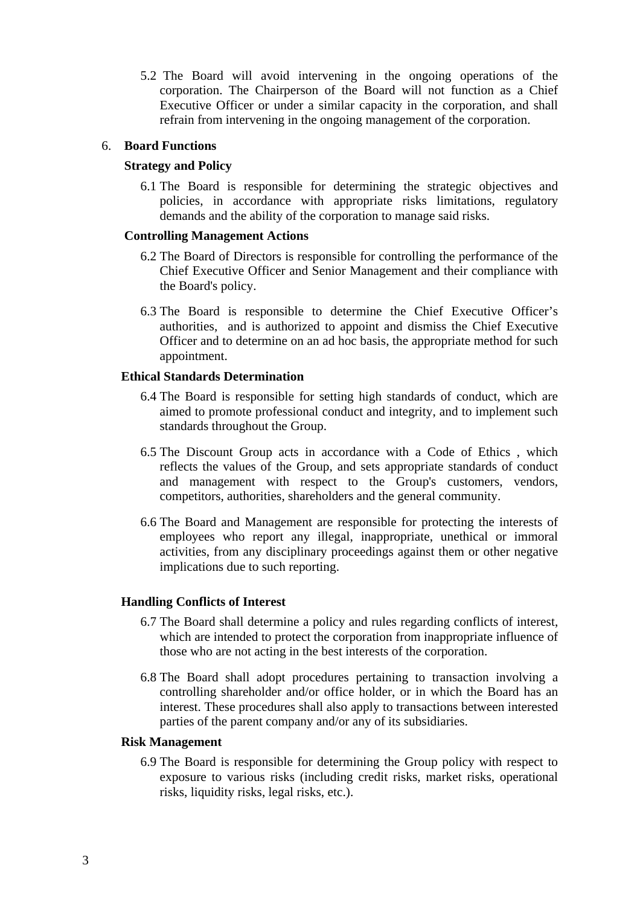5.2 The Board will avoid intervening in the ongoing operations of the corporation. The Chairperson of the Board will not function as a Chief Executive Officer or under a similar capacity in the corporation, and shall refrain from intervening in the ongoing management of the corporation.

### 6. **Board Functions**

### **Strategy and Policy**

6.1 The Board is responsible for determining the strategic objectives and policies, in accordance with appropriate risks limitations, regulatory demands and the ability of the corporation to manage said risks.

#### **Controlling Management Actions**

- 6.2 The Board of Directors is responsible for controlling the performance of the Chief Executive Officer and Senior Management and their compliance with the Board's policy.
- 6.3 The Board is responsible to determine the Chief Executive Officer's authorities, and is authorized to appoint and dismiss the Chief Executive Officer and to determine on an ad hoc basis, the appropriate method for such appointment.

#### **Ethical Standards Determination**

- 6.4 The Board is responsible for setting high standards of conduct, which are aimed to promote professional conduct and integrity, and to implement such standards throughout the Group.
- 6.5 The Discount Group acts in accordance with a Code of Ethics , which reflects the values of the Group, and sets appropriate standards of conduct and management with respect to the Group's customers, vendors, competitors, authorities, shareholders and the general community.
- 6.6 The Board and Management are responsible for protecting the interests of employees who report any illegal, inappropriate, unethical or immoral activities, from any disciplinary proceedings against them or other negative implications due to such reporting.

# **Handling Conflicts of Interest**

- 6.7 The Board shall determine a policy and rules regarding conflicts of interest, which are intended to protect the corporation from inappropriate influence of those who are not acting in the best interests of the corporation.
- 6.8 The Board shall adopt procedures pertaining to transaction involving a controlling shareholder and/or office holder, or in which the Board has an interest. These procedures shall also apply to transactions between interested parties of the parent company and/or any of its subsidiaries.

#### **Risk Management**

6.9 The Board is responsible for determining the Group policy with respect to exposure to various risks (including credit risks, market risks, operational risks, liquidity risks, legal risks, etc.).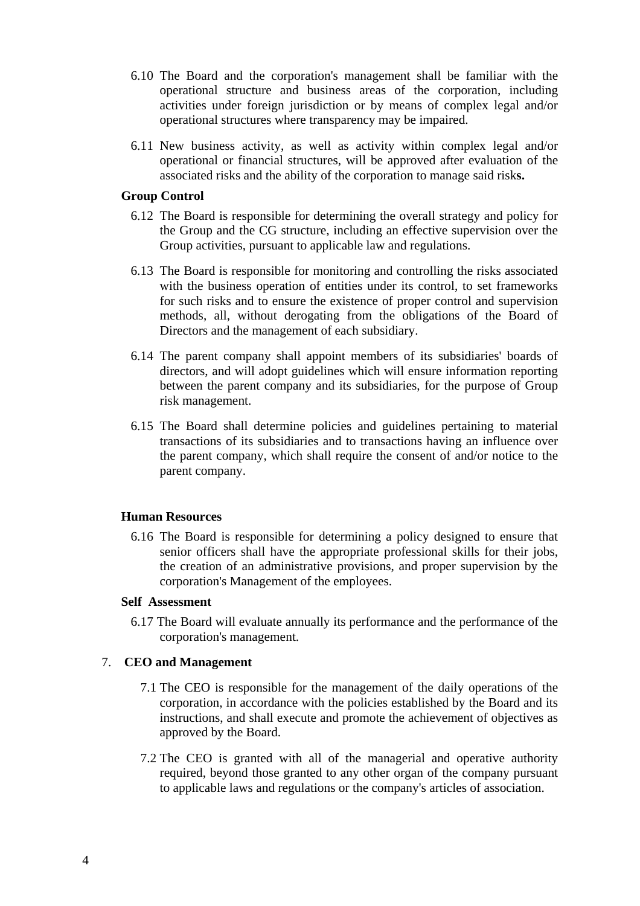- 6.10 The Board and the corporation's management shall be familiar with the operational structure and business areas of the corporation, including activities under foreign jurisdiction or by means of complex legal and/or operational structures where transparency may be impaired.
- 6.11 New business activity, as well as activity within complex legal and/or operational or financial structures, will be approved after evaluation of the associated risks and the ability of the corporation to manage said risk**s.**

### **Group Control**

- 6.12 The Board is responsible for determining the overall strategy and policy for the Group and the CG structure, including an effective supervision over the Group activities, pursuant to applicable law and regulations.
- 6.13 The Board is responsible for monitoring and controlling the risks associated with the business operation of entities under its control, to set frameworks for such risks and to ensure the existence of proper control and supervision methods, all, without derogating from the obligations of the Board of Directors and the management of each subsidiary.
- 6.14 The parent company shall appoint members of its subsidiaries' boards of directors, and will adopt guidelines which will ensure information reporting between the parent company and its subsidiaries, for the purpose of Group risk management.
- 6.15 The Board shall determine policies and guidelines pertaining to material transactions of its subsidiaries and to transactions having an influence over the parent company, which shall require the consent of and/or notice to the parent company.

#### **Human Resources**

6.16 The Board is responsible for determining a policy designed to ensure that senior officers shall have the appropriate professional skills for their jobs, the creation of an administrative provisions, and proper supervision by the corporation's Management of the employees.

#### **Self Assessment**

6.17 The Board will evaluate annually its performance and the performance of the corporation's management.

# 7. **CEO and Management**

- 7.1 The CEO is responsible for the management of the daily operations of the corporation, in accordance with the policies established by the Board and its instructions, and shall execute and promote the achievement of objectives as approved by the Board.
- 7.2 The CEO is granted with all of the managerial and operative authority required, beyond those granted to any other organ of the company pursuant to applicable laws and regulations or the company's articles of association.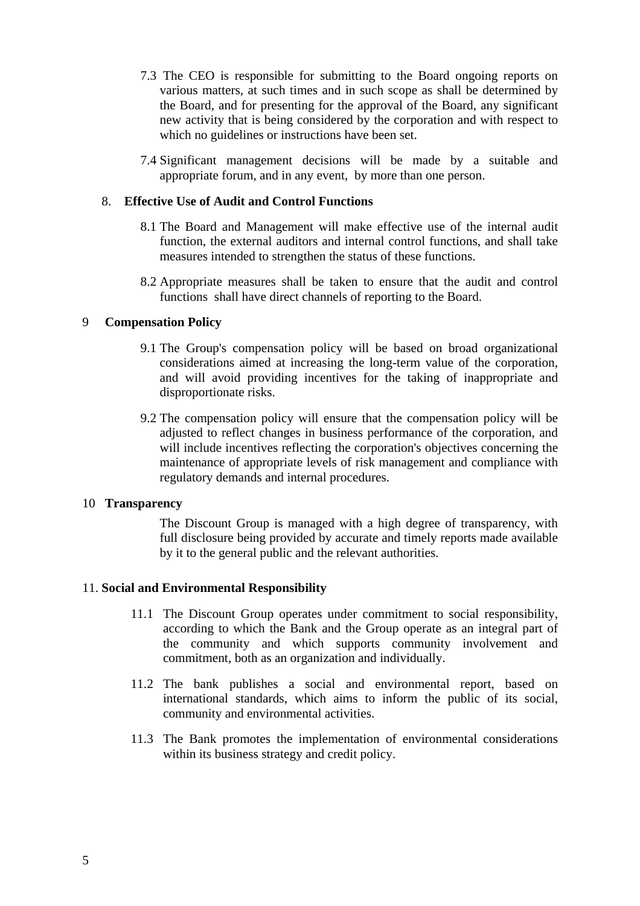- 7.3 The CEO is responsible for submitting to the Board ongoing reports on various matters, at such times and in such scope as shall be determined by the Board, and for presenting for the approval of the Board, any significant new activity that is being considered by the corporation and with respect to which no guidelines or instructions have been set.
- 7.4 Significant management decisions will be made by a suitable and appropriate forum, and in any event, by more than one person.

### 8. **Effective Use of Audit and Control Functions**

- 8.1 The Board and Management will make effective use of the internal audit function, the external auditors and internal control functions, and shall take measures intended to strengthen the status of these functions.
- 8.2 Appropriate measures shall be taken to ensure that the audit and control functions shall have direct channels of reporting to the Board.

#### 9 **Compensation Policy**

- 9.1 The Group's compensation policy will be based on broad organizational considerations aimed at increasing the long-term value of the corporation, and will avoid providing incentives for the taking of inappropriate and disproportionate risks.
- 9.2 The compensation policy will ensure that the compensation policy will be adjusted to reflect changes in business performance of the corporation, and will include incentives reflecting the corporation's objectives concerning the maintenance of appropriate levels of risk management and compliance with regulatory demands and internal procedures.

#### 10 **Transparency**

The Discount Group is managed with a high degree of transparency, with full disclosure being provided by accurate and timely reports made available by it to the general public and the relevant authorities.

#### 11. **Social and Environmental Responsibility**

- 11.1 The Discount Group operates under commitment to social responsibility, according to which the Bank and the Group operate as an integral part of the community and which supports community involvement and commitment, both as an organization and individually.
- 11.2 The bank publishes a social and environmental report, based on international standards, which aims to inform the public of its social, community and environmental activities.
- 11.3 The Bank promotes the implementation of environmental considerations within its business strategy and credit policy.